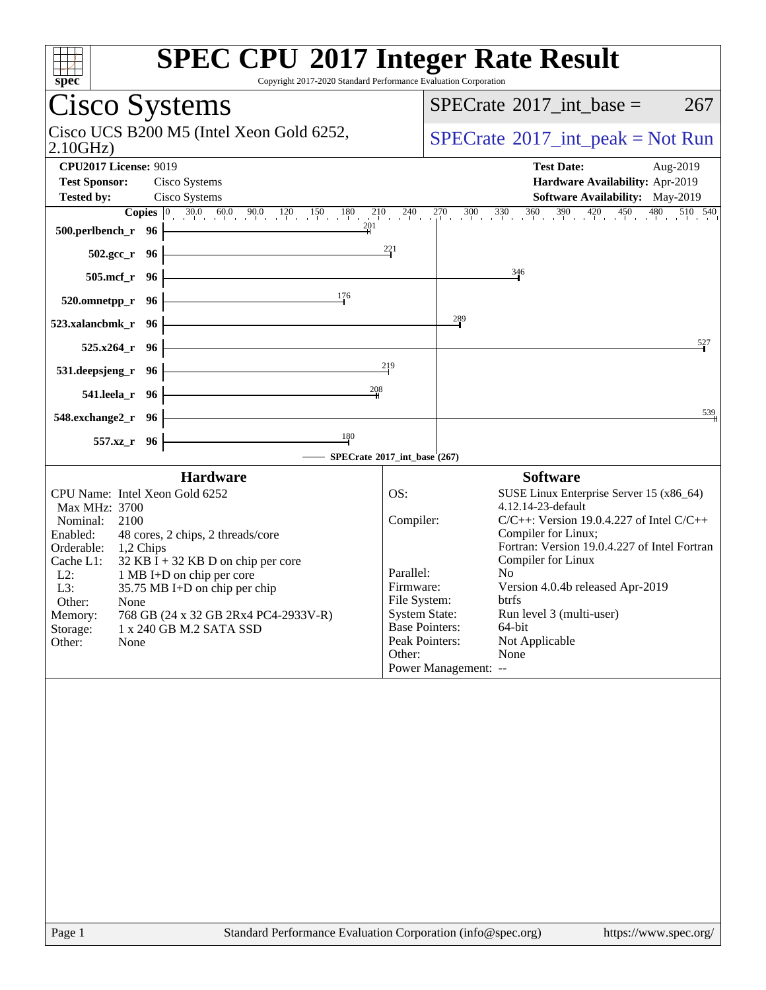| <b>SPEC CPU®2017 Integer Rate Result</b><br>spec<br>Copyright 2017-2020 Standard Performance Evaluation Corporation                                                                                                                                                                                                                                                                                               |                                                                                                                                         |                                                                                                                                                                                                                                                                                                                                                                     |
|-------------------------------------------------------------------------------------------------------------------------------------------------------------------------------------------------------------------------------------------------------------------------------------------------------------------------------------------------------------------------------------------------------------------|-----------------------------------------------------------------------------------------------------------------------------------------|---------------------------------------------------------------------------------------------------------------------------------------------------------------------------------------------------------------------------------------------------------------------------------------------------------------------------------------------------------------------|
| Cisco Systems                                                                                                                                                                                                                                                                                                                                                                                                     |                                                                                                                                         | $SPECrate^{\circledast}2017\_int\_base =$<br>267                                                                                                                                                                                                                                                                                                                    |
| Cisco UCS B200 M5 (Intel Xeon Gold 6252,<br>2.10GHz                                                                                                                                                                                                                                                                                                                                                               | $SPECrate^{\circledcirc}2017\_int\_peak = Not Run$                                                                                      |                                                                                                                                                                                                                                                                                                                                                                     |
| <b>CPU2017 License: 9019</b><br><b>Test Sponsor:</b><br>Cisco Systems<br><b>Tested by:</b><br>Cisco Systems<br>201<br>500.perlbench_r 96                                                                                                                                                                                                                                                                          |                                                                                                                                         | <b>Test Date:</b><br>Aug-2019<br>Hardware Availability: Apr-2019<br>Software Availability: May-2019<br><b>Copies</b> $\begin{bmatrix} 0 & 30.0 & 60.0 & 90.0 & 120 & 150 & 180 & 210 & 240 & 270 & 300 & 330 & 360 & 390 & 420 & 450 & 480 & 510 & 540 \end{bmatrix}$                                                                                               |
| $502.\text{gcc}_r$ 96                                                                                                                                                                                                                                                                                                                                                                                             | $\frac{221}{4}$                                                                                                                         |                                                                                                                                                                                                                                                                                                                                                                     |
| 505.mcf_r 96                                                                                                                                                                                                                                                                                                                                                                                                      |                                                                                                                                         | 346                                                                                                                                                                                                                                                                                                                                                                 |
| 176<br>520.omnetpp_r 96                                                                                                                                                                                                                                                                                                                                                                                           |                                                                                                                                         |                                                                                                                                                                                                                                                                                                                                                                     |
| 523.xalancbmk r 96                                                                                                                                                                                                                                                                                                                                                                                                |                                                                                                                                         | $\frac{289}{1}$                                                                                                                                                                                                                                                                                                                                                     |
| $525.x264$ $r$ 96                                                                                                                                                                                                                                                                                                                                                                                                 | 219                                                                                                                                     | 527                                                                                                                                                                                                                                                                                                                                                                 |
| 531.deepsjeng_r 96<br>208<br>541.leela_r 96                                                                                                                                                                                                                                                                                                                                                                       |                                                                                                                                         |                                                                                                                                                                                                                                                                                                                                                                     |
| 548.exchange2_r 96                                                                                                                                                                                                                                                                                                                                                                                                |                                                                                                                                         | 539                                                                                                                                                                                                                                                                                                                                                                 |
| $\frac{180}{2}$<br>557.xz_r 96                                                                                                                                                                                                                                                                                                                                                                                    |                                                                                                                                         |                                                                                                                                                                                                                                                                                                                                                                     |
| - SPECrate®2017_int_base (267)<br><b>Hardware</b>                                                                                                                                                                                                                                                                                                                                                                 |                                                                                                                                         | <b>Software</b>                                                                                                                                                                                                                                                                                                                                                     |
| CPU Name: Intel Xeon Gold 6252<br>Max MHz: 3700<br>2100<br>Nominal:<br>Enabled:<br>48 cores, 2 chips, 2 threads/core<br>Orderable:<br>1,2 Chips<br>$32$ KB I + 32 KB D on chip per core<br>Cache L1:<br>$L2$ :<br>1 MB I+D on chip per core<br>L3:<br>35.75 MB I+D on chip per chip<br>Other:<br>None<br>Memory:<br>768 GB (24 x 32 GB 2Rx4 PC4-2933V-R)<br>Storage:<br>1 x 240 GB M.2 SATA SSD<br>Other:<br>None | OS:<br>Compiler:<br>Parallel:<br>Firmware:<br>File System:<br><b>System State:</b><br><b>Base Pointers:</b><br>Peak Pointers:<br>Other: | SUSE Linux Enterprise Server 15 (x86_64)<br>4.12.14-23-default<br>$C/C++$ : Version 19.0.4.227 of Intel $C/C++$<br>Compiler for Linux;<br>Fortran: Version 19.0.4.227 of Intel Fortran<br>Compiler for Linux<br>N <sub>0</sub><br>Version 4.0.4b released Apr-2019<br>btrfs<br>Run level 3 (multi-user)<br>64-bit<br>Not Applicable<br>None<br>Power Management: -- |
| Standard Performance Evaluation Corporation (info@spec.org)<br>Page 1                                                                                                                                                                                                                                                                                                                                             |                                                                                                                                         | https://www.spec.org/                                                                                                                                                                                                                                                                                                                                               |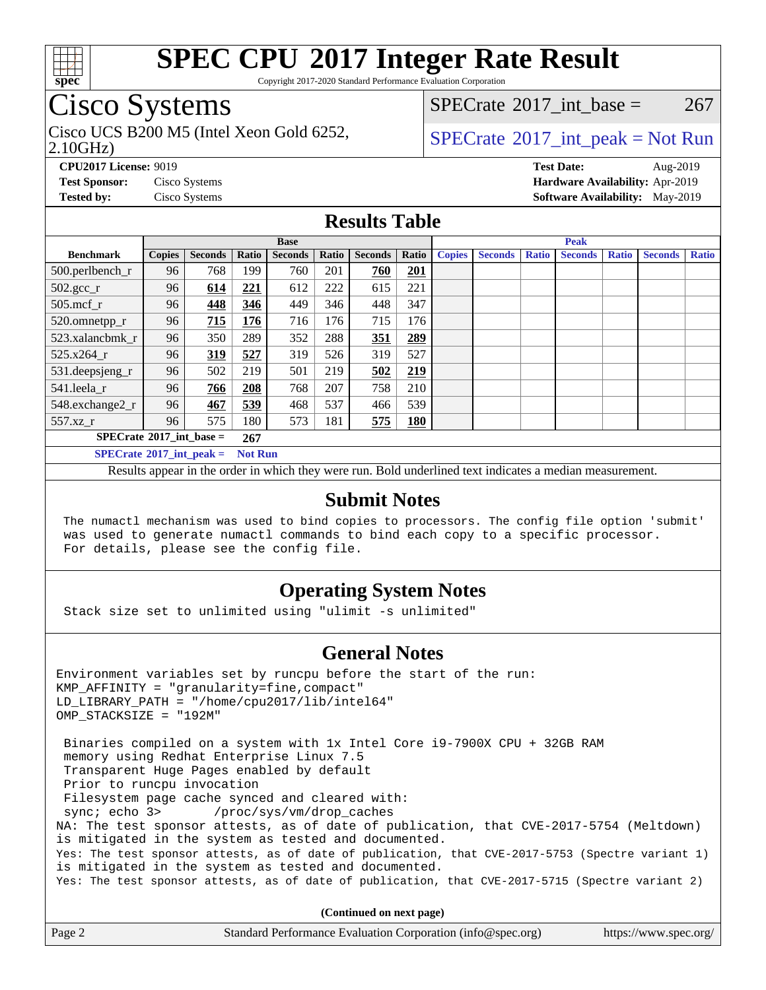

Copyright 2017-2020 Standard Performance Evaluation Corporation

### Cisco Systems

Cisco UCS B200 M5 (Intel Xeon Gold 6252,  $\vert$  [SPECrate](http://www.spec.org/auto/cpu2017/Docs/result-fields.html#SPECrate2017intpeak) 2017 int peak = Not Run

[SPECrate](http://www.spec.org/auto/cpu2017/Docs/result-fields.html#SPECrate2017intbase)<sup>®</sup>2017 int base = 267

#### 2.10GHz)

**[CPU2017 License:](http://www.spec.org/auto/cpu2017/Docs/result-fields.html#CPU2017License)** 9019 **[Test Date:](http://www.spec.org/auto/cpu2017/Docs/result-fields.html#TestDate)** Aug-2019

**[Test Sponsor:](http://www.spec.org/auto/cpu2017/Docs/result-fields.html#TestSponsor)** Cisco Systems **[Hardware Availability:](http://www.spec.org/auto/cpu2017/Docs/result-fields.html#HardwareAvailability)** Apr-2019 **[Tested by:](http://www.spec.org/auto/cpu2017/Docs/result-fields.html#Testedby)** Cisco Systems **[Software Availability:](http://www.spec.org/auto/cpu2017/Docs/result-fields.html#SoftwareAvailability)** May-2019

#### **[Results Table](http://www.spec.org/auto/cpu2017/Docs/result-fields.html#ResultsTable)**

|                                                       | <b>Base</b>   |                |       |                | <b>Peak</b> |                |            |               |                |              |                |              |                |              |
|-------------------------------------------------------|---------------|----------------|-------|----------------|-------------|----------------|------------|---------------|----------------|--------------|----------------|--------------|----------------|--------------|
| <b>Benchmark</b>                                      | <b>Copies</b> | <b>Seconds</b> | Ratio | <b>Seconds</b> | Ratio       | <b>Seconds</b> | Ratio      | <b>Copies</b> | <b>Seconds</b> | <b>Ratio</b> | <b>Seconds</b> | <b>Ratio</b> | <b>Seconds</b> | <b>Ratio</b> |
| 500.perlbench_r                                       | 96            | 768            | 199   | 760            | 201         | 760            | 201        |               |                |              |                |              |                |              |
| $502.\text{gcc}_r$                                    | 96            | 614            | 221   | 612            | 222         | 615            | 221        |               |                |              |                |              |                |              |
| $505$ .mcf r                                          | 96            | 448            | 346   | 449            | 346         | 448            | 347        |               |                |              |                |              |                |              |
| 520.omnetpp_r                                         | 96            | 715            | 176   | 716            | 176         | 715            | 176        |               |                |              |                |              |                |              |
| 523.xalancbmk r                                       | 96            | 350            | 289   | 352            | 288         | 351            | 289        |               |                |              |                |              |                |              |
| 525.x264 r                                            | 96            | 319            | 527   | 319            | 526         | 319            | 527        |               |                |              |                |              |                |              |
| 531.deepsjeng_r                                       | 96            | 502            | 219   | 501            | 219         | 502            | 219        |               |                |              |                |              |                |              |
| 541.leela r                                           | 96            | 766            | 208   | 768            | 207         | 758            | 210        |               |                |              |                |              |                |              |
| 548.exchange2_r                                       | 96            | 467            | 539   | 468            | 537         | 466            | 539        |               |                |              |                |              |                |              |
| 557.xz r                                              | 96            | 575            | 180   | 573            | 181         | 575            | <b>180</b> |               |                |              |                |              |                |              |
| $SPECrate^{\circ}2017\_int\_base =$<br>267            |               |                |       |                |             |                |            |               |                |              |                |              |                |              |
| $SPECrate^{\circ}2017\_int\_peak =$<br><b>Not Run</b> |               |                |       |                |             |                |            |               |                |              |                |              |                |              |

Results appear in the [order in which they were run](http://www.spec.org/auto/cpu2017/Docs/result-fields.html#RunOrder). Bold underlined text [indicates a median measurement](http://www.spec.org/auto/cpu2017/Docs/result-fields.html#Median).

#### **[Submit Notes](http://www.spec.org/auto/cpu2017/Docs/result-fields.html#SubmitNotes)**

 The numactl mechanism was used to bind copies to processors. The config file option 'submit' was used to generate numactl commands to bind each copy to a specific processor. For details, please see the config file.

### **[Operating System Notes](http://www.spec.org/auto/cpu2017/Docs/result-fields.html#OperatingSystemNotes)**

Stack size set to unlimited using "ulimit -s unlimited"

#### **[General Notes](http://www.spec.org/auto/cpu2017/Docs/result-fields.html#GeneralNotes)**

Environment variables set by runcpu before the start of the run: KMP\_AFFINITY = "granularity=fine,compact" LD\_LIBRARY\_PATH = "/home/cpu2017/lib/intel64" OMP\_STACKSIZE = "192M" Binaries compiled on a system with 1x Intel Core i9-7900X CPU + 32GB RAM memory using Redhat Enterprise Linux 7.5 Transparent Huge Pages enabled by default Prior to runcpu invocation Filesystem page cache synced and cleared with: sync; echo 3> /proc/sys/vm/drop\_caches NA: The test sponsor attests, as of date of publication, that CVE-2017-5754 (Meltdown) is mitigated in the system as tested and documented. Yes: The test sponsor attests, as of date of publication, that CVE-2017-5753 (Spectre variant 1) is mitigated in the system as tested and documented. Yes: The test sponsor attests, as of date of publication, that CVE-2017-5715 (Spectre variant 2) **(Continued on next page)**

| Page 2<br>Standard Performance Evaluation Corporation (info@spec.org)<br>https://www.spec.org/ |
|------------------------------------------------------------------------------------------------|
|------------------------------------------------------------------------------------------------|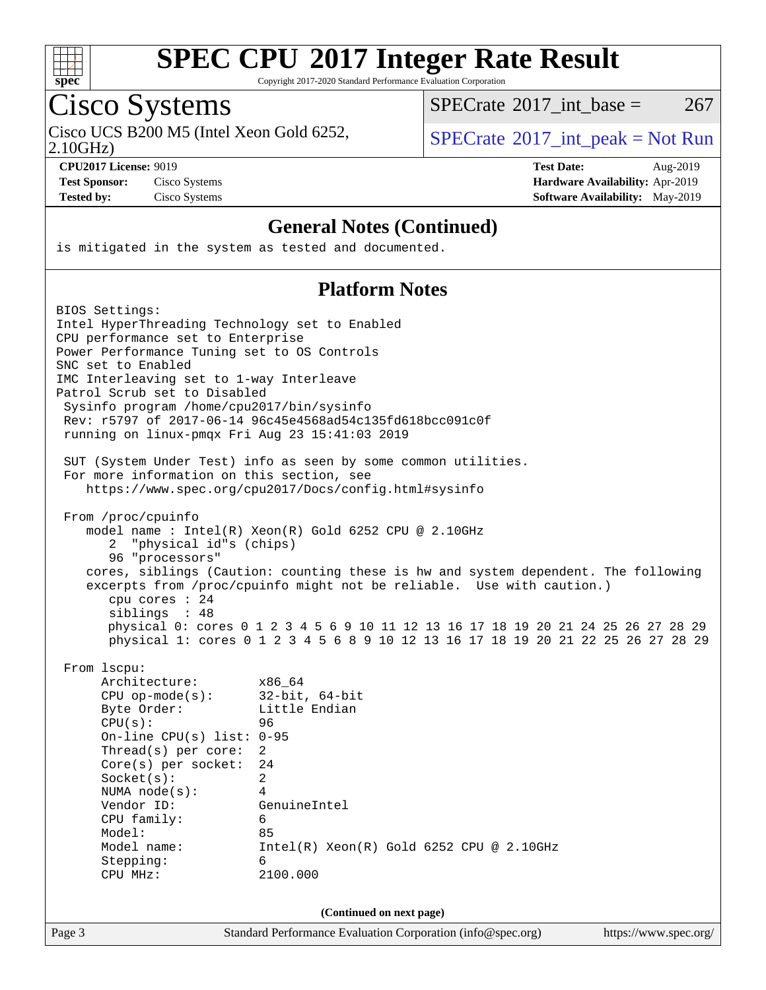

Copyright 2017-2020 Standard Performance Evaluation Corporation

# Cisco Systems

Cisco UCS B200 M5 (Intel Xeon Gold 6252,  $SPECTR = SPECrate^{\circ}2017\_int\_peak = Not Run$  $SPECTR = SPECrate^{\circ}2017\_int\_peak = Not Run$  $SPECTR = SPECrate^{\circ}2017\_int\_peak = Not Run$ 

 $SPECTate$ <sup>®</sup>[2017\\_int\\_base =](http://www.spec.org/auto/cpu2017/Docs/result-fields.html#SPECrate2017intbase) 267

2.10GHz)

**[CPU2017 License:](http://www.spec.org/auto/cpu2017/Docs/result-fields.html#CPU2017License)** 9019 **[Test Date:](http://www.spec.org/auto/cpu2017/Docs/result-fields.html#TestDate)** Aug-2019 **[Test Sponsor:](http://www.spec.org/auto/cpu2017/Docs/result-fields.html#TestSponsor)** Cisco Systems **[Hardware Availability:](http://www.spec.org/auto/cpu2017/Docs/result-fields.html#HardwareAvailability)** Apr-2019 **[Tested by:](http://www.spec.org/auto/cpu2017/Docs/result-fields.html#Testedby)** Cisco Systems **[Software Availability:](http://www.spec.org/auto/cpu2017/Docs/result-fields.html#SoftwareAvailability)** May-2019

#### **[General Notes \(Continued\)](http://www.spec.org/auto/cpu2017/Docs/result-fields.html#GeneralNotes)**

is mitigated in the system as tested and documented.

#### **[Platform Notes](http://www.spec.org/auto/cpu2017/Docs/result-fields.html#PlatformNotes)**

| BIOS Settings:<br>Intel HyperThreading Technology set to Enabled<br>CPU performance set to Enterprise<br>Power Performance Tuning set to OS Controls<br>SNC set to Enabled<br>IMC Interleaving set to 1-way Interleave<br>Patrol Scrub set to Disabled<br>Sysinfo program /home/cpu2017/bin/sysinfo<br>running on linux-pmqx Fri Aug 23 15:41:03 2019 | Rev: r5797 of 2017-06-14 96c45e4568ad54c135fd618bcc091c0f<br>SUT (System Under Test) info as seen by some common utilities.                                                                                                                                                                                                                                                                   |                       |
|-------------------------------------------------------------------------------------------------------------------------------------------------------------------------------------------------------------------------------------------------------------------------------------------------------------------------------------------------------|-----------------------------------------------------------------------------------------------------------------------------------------------------------------------------------------------------------------------------------------------------------------------------------------------------------------------------------------------------------------------------------------------|-----------------------|
| For more information on this section, see                                                                                                                                                                                                                                                                                                             | https://www.spec.org/cpu2017/Docs/config.html#sysinfo                                                                                                                                                                                                                                                                                                                                         |                       |
| From /proc/cpuinfo<br>"physical id"s (chips)<br>2<br>96 "processors"<br>cpu cores : 24<br>siblings : 48                                                                                                                                                                                                                                               | model name : Intel(R) Xeon(R) Gold 6252 CPU @ 2.10GHz<br>cores, siblings (Caution: counting these is hw and system dependent. The following<br>excerpts from /proc/cpuinfo might not be reliable. Use with caution.)<br>physical 0: cores 0 1 2 3 4 5 6 9 10 11 12 13 16 17 18 19 20 21 24 25 26 27 28 29<br>physical 1: cores 0 1 2 3 4 5 6 8 9 10 12 13 16 17 18 19 20 21 22 25 26 27 28 29 |                       |
| From 1scpu:<br>Architecture:<br>$CPU$ op-mode( $s$ ):<br>Byte Order:<br>CPU(s):<br>On-line CPU $(s)$ list: 0-95<br>Thread(s) per core:<br>$Core(s)$ per socket:<br>Socket(s):<br>NUMA $node(s):$<br>Vendor ID:<br>CPU family:<br>Model:<br>Model name:<br>Stepping:<br>CPU MHz:                                                                       | x86_64<br>$32$ -bit, $64$ -bit<br>Little Endian<br>96<br>$\overline{2}$<br>24<br>2<br>4<br>GenuineIntel<br>6<br>85<br>$Intel(R) Xeon(R) Gold 6252 CPU @ 2.10GHz$<br>6<br>2100.000                                                                                                                                                                                                             |                       |
| Page 3                                                                                                                                                                                                                                                                                                                                                | (Continued on next page)<br>Standard Performance Evaluation Corporation (info@spec.org)                                                                                                                                                                                                                                                                                                       | https://www.spec.org/ |
|                                                                                                                                                                                                                                                                                                                                                       |                                                                                                                                                                                                                                                                                                                                                                                               |                       |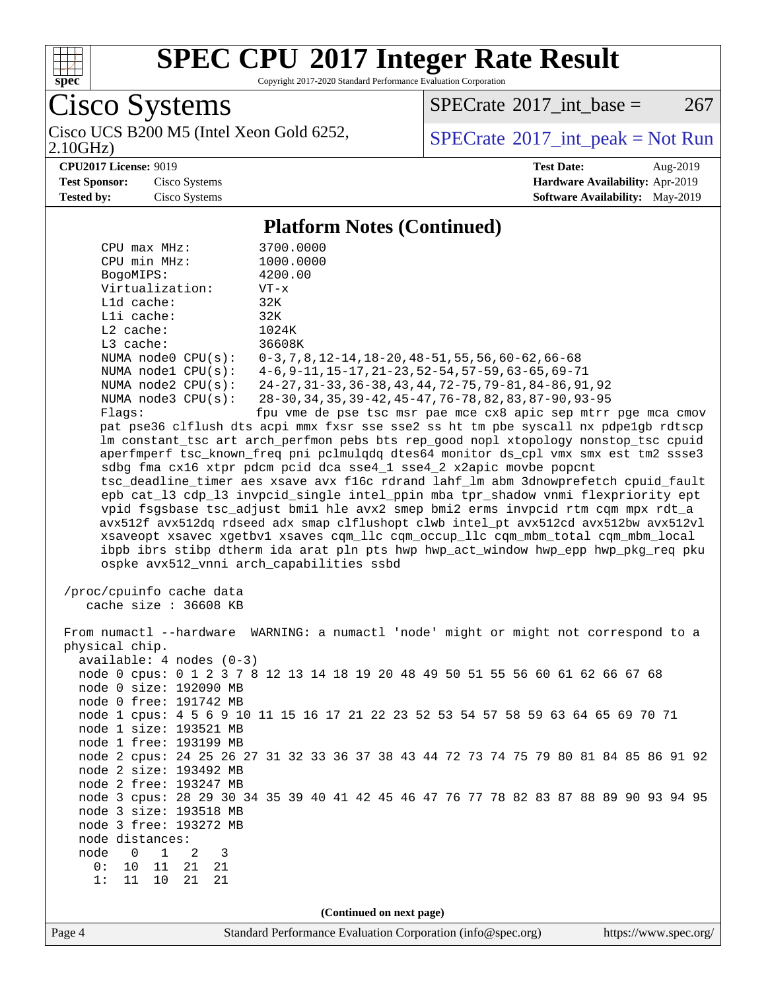

Copyright 2017-2020 Standard Performance Evaluation Corporation

Cisco Systems<br>Cisco UCS B200 M5 (Intel Xeon Gold 6252,

 $SPECTate@2017_int\_base = 267$ 

2.10GHz)

 $SPECrate$ <sup>®</sup> $2017$ \_int\_peak = Not Run

**[CPU2017 License:](http://www.spec.org/auto/cpu2017/Docs/result-fields.html#CPU2017License)** 9019 **[Test Date:](http://www.spec.org/auto/cpu2017/Docs/result-fields.html#TestDate)** Aug-2019 **[Test Sponsor:](http://www.spec.org/auto/cpu2017/Docs/result-fields.html#TestSponsor)** Cisco Systems **[Hardware Availability:](http://www.spec.org/auto/cpu2017/Docs/result-fields.html#HardwareAvailability)** Apr-2019 **[Tested by:](http://www.spec.org/auto/cpu2017/Docs/result-fields.html#Testedby)** Cisco Systems **[Software Availability:](http://www.spec.org/auto/cpu2017/Docs/result-fields.html#SoftwareAvailability)** May-2019

#### **[Platform Notes \(Continued\)](http://www.spec.org/auto/cpu2017/Docs/result-fields.html#PlatformNotes)**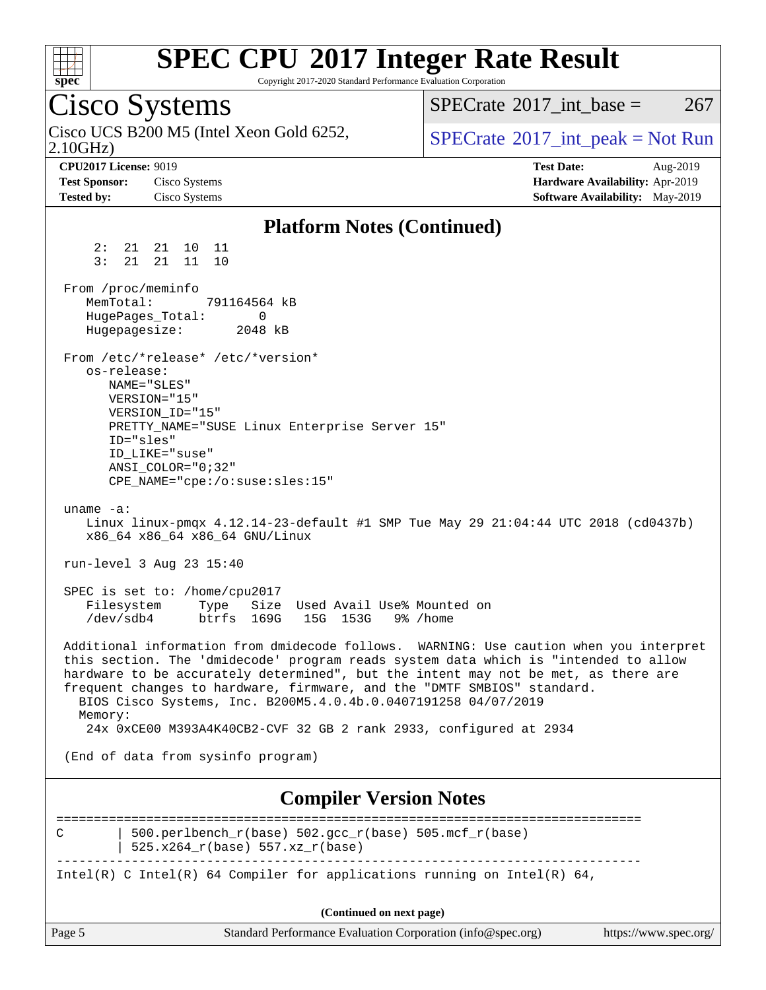

Copyright 2017-2020 Standard Performance Evaluation Corporation

Cisco Systems 2.10GHz) Cisco UCS B200 M5 (Intel Xeon Gold 6252,  $\vert$  [SPECrate](http://www.spec.org/auto/cpu2017/Docs/result-fields.html#SPECrate2017intpeak) 2017 int peak = Not Run  $SPECTate^{\circ}2017$  int base = 267 **[CPU2017 License:](http://www.spec.org/auto/cpu2017/Docs/result-fields.html#CPU2017License)** 9019 **[Test Date:](http://www.spec.org/auto/cpu2017/Docs/result-fields.html#TestDate)** Aug-2019 **[Test Sponsor:](http://www.spec.org/auto/cpu2017/Docs/result-fields.html#TestSponsor)** Cisco Systems **[Hardware Availability:](http://www.spec.org/auto/cpu2017/Docs/result-fields.html#HardwareAvailability)** Apr-2019 **[Tested by:](http://www.spec.org/auto/cpu2017/Docs/result-fields.html#Testedby)** Cisco Systems **[Software Availability:](http://www.spec.org/auto/cpu2017/Docs/result-fields.html#SoftwareAvailability)** May-2019 **[Platform Notes \(Continued\)](http://www.spec.org/auto/cpu2017/Docs/result-fields.html#PlatformNotes)** 2: 21 21 10 11 3: 21 21 11 10 From /proc/meminfo<br>MemTotal: 791164564 kB MemTotal: HugePages\_Total: 0 Hugepagesize: 2048 kB From /etc/\*release\* /etc/\*version\* os-release: NAME="SLES" VERSION="15" VERSION\_ID="15" PRETTY\_NAME="SUSE Linux Enterprise Server 15" ID="sles" ID\_LIKE="suse" ANSI\_COLOR="0;32" CPE\_NAME="cpe:/o:suse:sles:15" uname -a: Linux linux-pmqx 4.12.14-23-default #1 SMP Tue May 29 21:04:44 UTC 2018 (cd0437b) x86\_64 x86\_64 x86\_64 GNU/Linux run-level 3 Aug 23 15:40 SPEC is set to: /home/cpu2017 Filesystem Type Size Used Avail Use% Mounted on /dev/sdb4 btrfs 169G 15G 153G 9% /home Additional information from dmidecode follows. WARNING: Use caution when you interpret this section. The 'dmidecode' program reads system data which is "intended to allow hardware to be accurately determined", but the intent may not be met, as there are frequent changes to hardware, firmware, and the "DMTF SMBIOS" standard. BIOS Cisco Systems, Inc. B200M5.4.0.4b.0.0407191258 04/07/2019 Memory: 24x 0xCE00 M393A4K40CB2-CVF 32 GB 2 rank 2933, configured at 2934 (End of data from sysinfo program) **[Compiler Version Notes](http://www.spec.org/auto/cpu2017/Docs/result-fields.html#CompilerVersionNotes)** ==============================================================================

C | 500.perlbench r(base) 502.gcc r(base) 505.mcf r(base) | 525.x264\_r(base) 557.xz\_r(base) ------------------------------------------------------------------------------ Intel(R) C Intel(R) 64 Compiler for applications running on Intel(R)  $64$ ,

**(Continued on next page)**

| Page 5 | Standard Performance Evaluation Corporation (info@spec.org) | https://www.spec.org/ $\frac{1}{2}$ |
|--------|-------------------------------------------------------------|-------------------------------------|
|--------|-------------------------------------------------------------|-------------------------------------|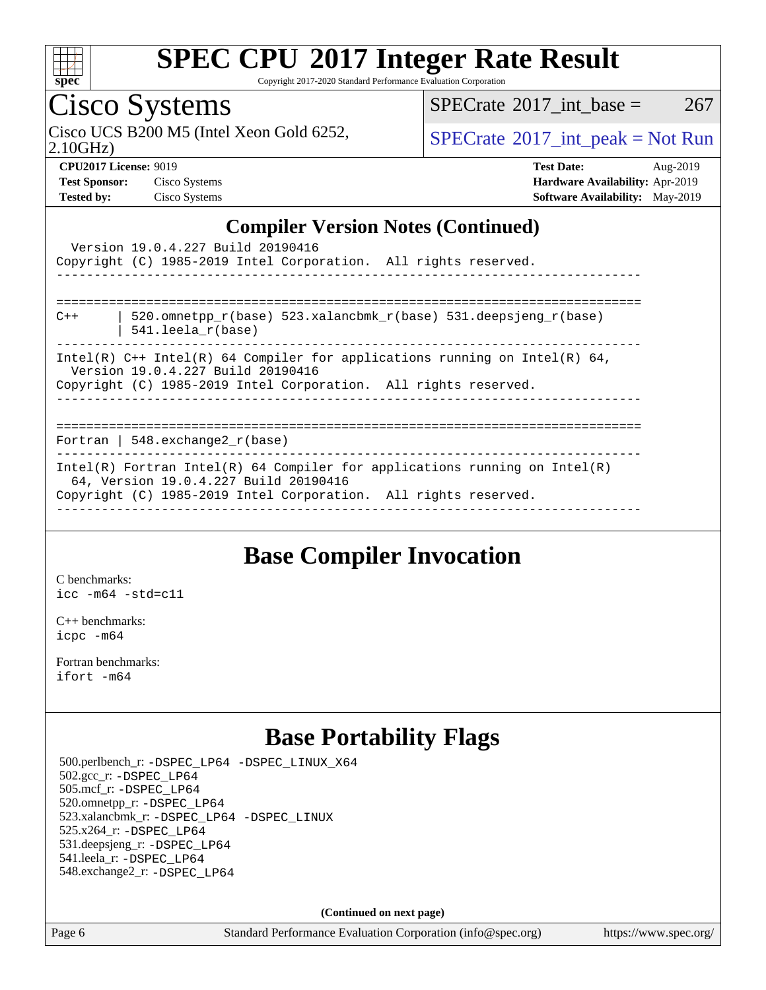

Copyright 2017-2020 Standard Performance Evaluation Corporation

Cisco Systems

Cisco UCS B200 M5 (Intel Xeon Gold 6252,  $\vert$ [SPECrate](http://www.spec.org/auto/cpu2017/Docs/result-fields.html#SPECrate2017intpeak)®[2017\\_int\\_peak = N](http://www.spec.org/auto/cpu2017/Docs/result-fields.html#SPECrate2017intpeak)ot Run

 $SPECTate$ <sup>®</sup>[2017\\_int\\_base =](http://www.spec.org/auto/cpu2017/Docs/result-fields.html#SPECrate2017intbase) 267

2.10GHz)

**[Tested by:](http://www.spec.org/auto/cpu2017/Docs/result-fields.html#Testedby)** Cisco Systems **[Software Availability:](http://www.spec.org/auto/cpu2017/Docs/result-fields.html#SoftwareAvailability)** May-2019

**[CPU2017 License:](http://www.spec.org/auto/cpu2017/Docs/result-fields.html#CPU2017License)** 9019 **[Test Date:](http://www.spec.org/auto/cpu2017/Docs/result-fields.html#TestDate)** Aug-2019 **[Test Sponsor:](http://www.spec.org/auto/cpu2017/Docs/result-fields.html#TestSponsor)** Cisco Systems **[Hardware Availability:](http://www.spec.org/auto/cpu2017/Docs/result-fields.html#HardwareAvailability)** Apr-2019

### **[Compiler Version Notes \(Continued\)](http://www.spec.org/auto/cpu2017/Docs/result-fields.html#CompilerVersionNotes)**

|                                                                                                                                                                                      | Version 19.0.4.227 Build 20190416<br>Copyright (C) 1985-2019 Intel Corporation. All rights reserved.                                                                                   |  |  |  |
|--------------------------------------------------------------------------------------------------------------------------------------------------------------------------------------|----------------------------------------------------------------------------------------------------------------------------------------------------------------------------------------|--|--|--|
|                                                                                                                                                                                      |                                                                                                                                                                                        |  |  |  |
| $C++$                                                                                                                                                                                | 520.omnetpp $r(base)$ 523.xalancbmk $r(base)$ 531.deepsjeng $r(base)$<br>$541.$ leela r(base)<br>--------------------------------------                                                |  |  |  |
| Intel(R) $C++$ Intel(R) 64 Compiler for applications running on Intel(R) 64,<br>Version 19.0.4.227 Build 20190416<br>Copyright (C) 1985-2019 Intel Corporation. All rights reserved. |                                                                                                                                                                                        |  |  |  |
|                                                                                                                                                                                      |                                                                                                                                                                                        |  |  |  |
|                                                                                                                                                                                      | Fortran   548.exchange2 $r(base)$                                                                                                                                                      |  |  |  |
|                                                                                                                                                                                      | Intel(R) Fortran Intel(R) 64 Compiler for applications running on Intel(R)<br>64, Version 19.0.4.227 Build 20190416<br>Copyright (C) 1985-2019 Intel Corporation. All rights reserved. |  |  |  |

### **[Base Compiler Invocation](http://www.spec.org/auto/cpu2017/Docs/result-fields.html#BaseCompilerInvocation)**

[C benchmarks](http://www.spec.org/auto/cpu2017/Docs/result-fields.html#Cbenchmarks): [icc -m64 -std=c11](http://www.spec.org/cpu2017/results/res2019q3/cpu2017-20190903-17751.flags.html#user_CCbase_intel_icc_64bit_c11_33ee0cdaae7deeeab2a9725423ba97205ce30f63b9926c2519791662299b76a0318f32ddfffdc46587804de3178b4f9328c46fa7c2b0cd779d7a61945c91cd35)

[C++ benchmarks:](http://www.spec.org/auto/cpu2017/Docs/result-fields.html#CXXbenchmarks) [icpc -m64](http://www.spec.org/cpu2017/results/res2019q3/cpu2017-20190903-17751.flags.html#user_CXXbase_intel_icpc_64bit_4ecb2543ae3f1412ef961e0650ca070fec7b7afdcd6ed48761b84423119d1bf6bdf5cad15b44d48e7256388bc77273b966e5eb805aefd121eb22e9299b2ec9d9)

[Fortran benchmarks](http://www.spec.org/auto/cpu2017/Docs/result-fields.html#Fortranbenchmarks): [ifort -m64](http://www.spec.org/cpu2017/results/res2019q3/cpu2017-20190903-17751.flags.html#user_FCbase_intel_ifort_64bit_24f2bb282fbaeffd6157abe4f878425411749daecae9a33200eee2bee2fe76f3b89351d69a8130dd5949958ce389cf37ff59a95e7a40d588e8d3a57e0c3fd751)

### **[Base Portability Flags](http://www.spec.org/auto/cpu2017/Docs/result-fields.html#BasePortabilityFlags)**

 500.perlbench\_r: [-DSPEC\\_LP64](http://www.spec.org/cpu2017/results/res2019q3/cpu2017-20190903-17751.flags.html#b500.perlbench_r_basePORTABILITY_DSPEC_LP64) [-DSPEC\\_LINUX\\_X64](http://www.spec.org/cpu2017/results/res2019q3/cpu2017-20190903-17751.flags.html#b500.perlbench_r_baseCPORTABILITY_DSPEC_LINUX_X64) 502.gcc\_r: [-DSPEC\\_LP64](http://www.spec.org/cpu2017/results/res2019q3/cpu2017-20190903-17751.flags.html#suite_basePORTABILITY502_gcc_r_DSPEC_LP64) 505.mcf\_r: [-DSPEC\\_LP64](http://www.spec.org/cpu2017/results/res2019q3/cpu2017-20190903-17751.flags.html#suite_basePORTABILITY505_mcf_r_DSPEC_LP64) 520.omnetpp\_r: [-DSPEC\\_LP64](http://www.spec.org/cpu2017/results/res2019q3/cpu2017-20190903-17751.flags.html#suite_basePORTABILITY520_omnetpp_r_DSPEC_LP64) 523.xalancbmk\_r: [-DSPEC\\_LP64](http://www.spec.org/cpu2017/results/res2019q3/cpu2017-20190903-17751.flags.html#suite_basePORTABILITY523_xalancbmk_r_DSPEC_LP64) [-DSPEC\\_LINUX](http://www.spec.org/cpu2017/results/res2019q3/cpu2017-20190903-17751.flags.html#b523.xalancbmk_r_baseCXXPORTABILITY_DSPEC_LINUX) 525.x264\_r: [-DSPEC\\_LP64](http://www.spec.org/cpu2017/results/res2019q3/cpu2017-20190903-17751.flags.html#suite_basePORTABILITY525_x264_r_DSPEC_LP64) 531.deepsjeng\_r: [-DSPEC\\_LP64](http://www.spec.org/cpu2017/results/res2019q3/cpu2017-20190903-17751.flags.html#suite_basePORTABILITY531_deepsjeng_r_DSPEC_LP64) 541.leela\_r: [-DSPEC\\_LP64](http://www.spec.org/cpu2017/results/res2019q3/cpu2017-20190903-17751.flags.html#suite_basePORTABILITY541_leela_r_DSPEC_LP64) 548.exchange2\_r: [-DSPEC\\_LP64](http://www.spec.org/cpu2017/results/res2019q3/cpu2017-20190903-17751.flags.html#suite_basePORTABILITY548_exchange2_r_DSPEC_LP64)

**(Continued on next page)**

Page 6 Standard Performance Evaluation Corporation [\(info@spec.org\)](mailto:info@spec.org) <https://www.spec.org/>